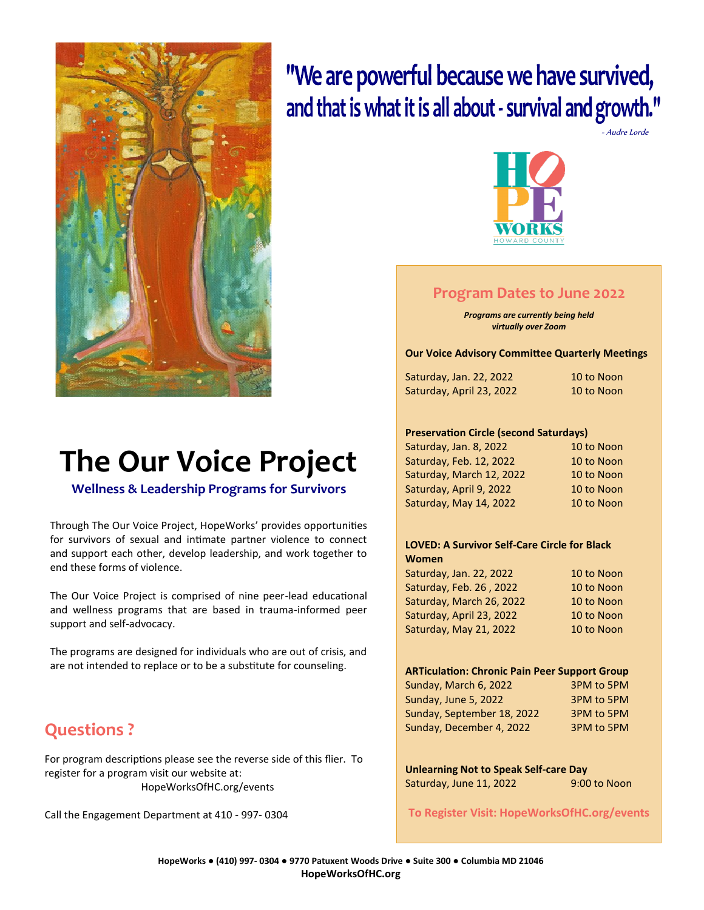

# **The Our Voice Project**

**Wellness & Leadership Programs for Survivors**

Through The Our Voice Project, HopeWorks' provides opportunities for survivors of sexual and intimate partner violence to connect and support each other, develop leadership, and work together to end these forms of violence.

The Our Voice Project is comprised of nine peer-lead educational and wellness programs that are based in trauma-informed peer support and self-advocacy.

The programs are designed for individuals who are out of crisis, and are not intended to replace or to be a substitute for counseling.

### **Questions ?**

For program descriptions please see the reverse side of this flier. To register for a program visit our website at: HopeWorksOfHC.org/events

Call the Engagement Department at 410 - 997- 0304

## "We are powerful because we have survived, and that is what it is all about - survival and growth."

- Audre Lorde



#### **Program Dates to June 2022**

*Programs are currently being held virtually over Zoom*

**Our Voice Advisory Committee Quarterly Meetings**

| Saturday, Jan. 22, 2022  | 10 to Noon |
|--------------------------|------------|
| Saturday, April 23, 2022 | 10 to Noon |

#### **Preservation Circle (second Saturdays)**

| Saturday, Jan. 8, 2022   | 10 to Noon |
|--------------------------|------------|
| Saturday, Feb. 12, 2022  | 10 to Noon |
| Saturday, March 12, 2022 | 10 to Noon |
| Saturday, April 9, 2022  | 10 to Noon |
| Saturday, May 14, 2022   | 10 to Noon |
|                          |            |

#### **LOVED: A Survivor Self-Care Circle for Black Women**

| Saturday, Jan. 22, 2022  | 10 to Noon |
|--------------------------|------------|
| Saturday, Feb. 26, 2022  | 10 to Noon |
| Saturday, March 26, 2022 | 10 to Noon |
| Saturday, April 23, 2022 | 10 to Noon |
| Saturday, May 21, 2022   | 10 to Noon |

#### **ARTiculation: Chronic Pain Peer Support Group**

| 3PM to 5PM<br>3PM to 5PM<br>3PM to 5PM<br>3PM to 5PM |
|------------------------------------------------------|

| <b>Unlearning Not to Speak Self-care Day</b> |              |
|----------------------------------------------|--------------|
| Saturday, June 11, 2022                      | 9:00 to Noon |

**To Register Visit: HopeWorksOfHC.org/events**